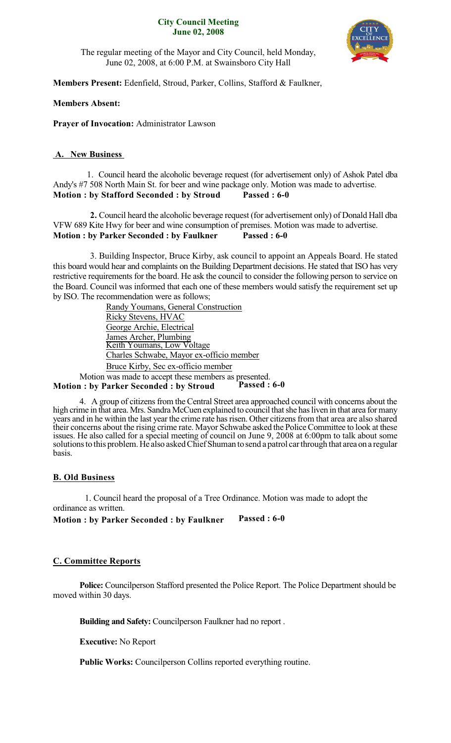#### **City Council Meeting June 02, 2008**



The regular meeting of the Mayor and City Council, held Monday, June 02, 2008, at 6:00 P.M. at Swainsboro City Hall

**Members Present:** Edenfield, Stroud, Parker, Collins, Stafford & Faulkner,

## **Members Absent:**

**Prayer of Invocation:** Administrator Lawson

## **A. New Business**

1. Council heard the alcoholic beverage request (for advertisement only) of Ashok Patel dba Andy's #7 508 North Main St. for beer and wine package only. Motion was made to advertise. **Motion : by Stafford Seconded : by Stroud Passed : 6-0**

**2.** Council heard the alcoholic beverage request (for advertisement only) of Donald Hall dba VFW 689 Kite Hwy for beer and wine consumption of premises. Motion was made to advertise. **Motion : by Parker Seconded : by Faulkner Passed : 6-0**

3. Building Inspector, Bruce Kirby, ask council to appoint an Appeals Board. He stated this board would hear and complaints on the Building Department decisions. He stated that ISO has very restrictive requirements for the board. He ask the council to consider the following person to service on the Board. Council was informed that each one of these members would satisfy the requirement set up by ISO. The recommendation were as follows;

> Randy Youmans, General Construction Ricky Stevens, HVAC George Archie, Electrical James Archer, Plumbing Keith Youmans, Low Voltage Charles Schwabe, Mayor ex-officio member Bruce Kirby, Sec ex-officio member

Motion was made to accept these members as presented.<br>1: by Parker Seconded : by Stroud Passed : 6-0 **Motion** : by Parker Seconded : by Stroud

4. A group of citizens from the Central Street area approached council with concerns about the high crime in that area. Mrs. Sandra McCuen explained to council that she has liven in that area for many years and in he within the last year the crime rate has risen. Other citizens from that area are also shared their concerns about the rising crime rate. Mayor Schwabe asked the Police Committee to look at these issues. He also called for a special meeting of council on June 9, 2008 at 6:00pm to talk about some solutionsto this problem.He also askedChiefShuman to send a patrol carthrough that area on a regular basis.

#### **B. Old Business**

1. Council heard the proposal of a Tree Ordinance. Motion was made to adopt the ordinance as written.

**Motion : by Parker Seconded : by Faulkner Passed : 6-0**

# **C. Committee Reports**

**Police:** Councilperson Stafford presented the Police Report. The Police Department should be moved within 30 days.

**Building and Safety:** Councilperson Faulkner had no report .

**Executive:** No Report

**Public Works:** Councilperson Collins reported everything routine.